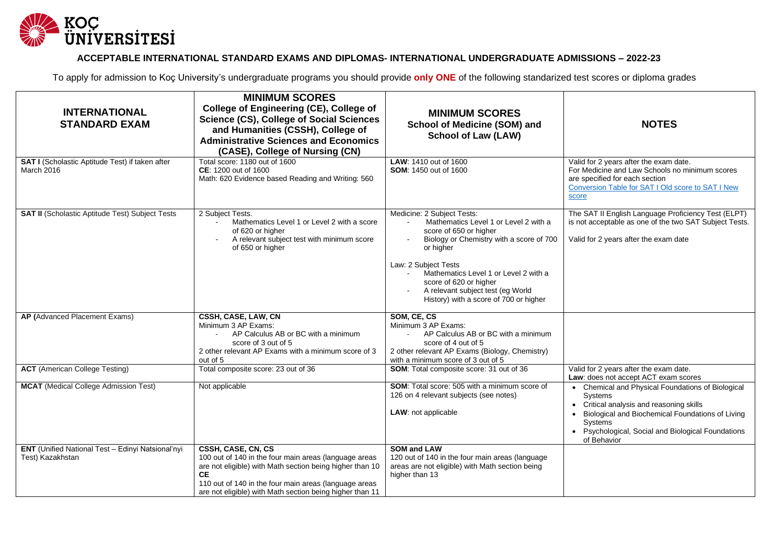

## **ACCEPTABLE INTERNATIONAL STANDARD EXAMS AND DIPLOMAS- INTERNATIONAL UNDERGRADUATE ADMISSIONS – 2022-23**

To apply for admission to Koç University's undergraduate programs you should provide **only ONE** of the following standarized test scores or diploma grades

| <b>INTERNATIONAL</b><br><b>STANDARD EXAM</b>                          | <b>MINIMUM SCORES</b><br>College of Engineering (CE), College of<br><b>Science (CS), College of Social Sciences</b><br>and Humanities (CSSH), College of<br><b>Administrative Sciences and Economics</b><br>(CASE), College of Nursing (CN)                               | <b>MINIMUM SCORES</b><br><b>School of Medicine (SOM) and</b><br><b>School of Law (LAW)</b>                                                                                                                                                                                                                                       | <b>NOTES</b>                                                                                                                                                                                                                                           |
|-----------------------------------------------------------------------|---------------------------------------------------------------------------------------------------------------------------------------------------------------------------------------------------------------------------------------------------------------------------|----------------------------------------------------------------------------------------------------------------------------------------------------------------------------------------------------------------------------------------------------------------------------------------------------------------------------------|--------------------------------------------------------------------------------------------------------------------------------------------------------------------------------------------------------------------------------------------------------|
| SAT I (Scholastic Aptitude Test) if taken after<br>March 2016         | Total score: 1180 out of 1600<br>CE: 1200 out of 1600<br>Math: 620 Evidence based Reading and Writing: 560                                                                                                                                                                | LAW: 1410 out of 1600<br><b>SOM: 1450 out of 1600</b>                                                                                                                                                                                                                                                                            | Valid for 2 years after the exam date.<br>For Medicine and Law Schools no minimum scores<br>are specified for each section<br>Conversion Table for SAT I Old score to SAT I New<br>score                                                               |
| <b>SAT II</b> (Scholastic Aptitude Test) Subject Tests                | 2 Subject Tests.<br>Mathematics Level 1 or Level 2 with a score<br>of 620 or higher<br>A relevant subject test with minimum score<br>of 650 or higher                                                                                                                     | Medicine: 2 Subject Tests:<br>Mathematics Level 1 or Level 2 with a<br>score of 650 or higher<br>Biology or Chemistry with a score of 700<br>or higher<br>Law: 2 Subject Tests<br>Mathematics Level 1 or Level 2 with a<br>score of 620 or higher<br>A relevant subject test (eg World<br>History) with a score of 700 or higher | The SAT II English Language Proficiency Test (ELPT)<br>is not acceptable as one of the two SAT Subject Tests.<br>Valid for 2 years after the exam date                                                                                                 |
| AP (Advanced Placement Exams)                                         | <b>CSSH, CASE, LAW, CN</b><br>Minimum 3 AP Exams:<br>AP Calculus AB or BC with a minimum<br>score of 3 out of 5<br>2 other relevant AP Exams with a minimum score of 3<br>out of 5                                                                                        | SOM, CE, CS<br>Minimum 3 AP Exams:<br>AP Calculus AB or BC with a minimum<br>score of 4 out of 5<br>2 other relevant AP Exams (Biology, Chemistry)<br>with a minimum score of 3 out of 5                                                                                                                                         |                                                                                                                                                                                                                                                        |
| <b>ACT</b> (American College Testing)                                 | Total composite score: 23 out of 36                                                                                                                                                                                                                                       | SOM: Total composite score: 31 out of 36                                                                                                                                                                                                                                                                                         | Valid for 2 years after the exam date.<br>Law: does not accept ACT exam scores                                                                                                                                                                         |
| <b>MCAT</b> (Medical College Admission Test)                          | Not applicable                                                                                                                                                                                                                                                            | <b>SOM:</b> Total score: 505 with a minimum score of<br>126 on 4 relevant subjects (see notes)<br>LAW: not applicable                                                                                                                                                                                                            | • Chemical and Physical Foundations of Biological<br><b>Systems</b><br>Critical analysis and reasoning skills<br>Biological and Biochemical Foundations of Living<br><b>Systems</b><br>Psychological, Social and Biological Foundations<br>of Behavior |
| ENT (Unified National Test - Edinyi Natsional'nyi<br>Test) Kazakhstan | CSSH, CASE, CN, CS<br>100 out of 140 in the four main areas (language areas<br>are not eligible) with Math section being higher than 10<br><b>CE</b><br>110 out of 140 in the four main areas (language areas<br>are not eligible) with Math section being higher than 11 | <b>SOM and LAW</b><br>120 out of 140 in the four main areas (language<br>areas are not eligible) with Math section being<br>higher than 13                                                                                                                                                                                       |                                                                                                                                                                                                                                                        |